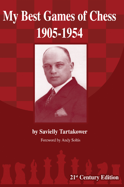## **My Best Games of Chess** 1905-1954



#### by Savielly Tartakower

Foreword by Andy Soltis

21<sup>st</sup> Century Edition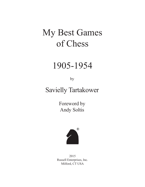# My Best Games of Chess

# 1905-1954

by

## Savielly Tartakower

Foreword by Andy Soltis



2015 Russell Enterprises, Inc. Milford, CT USA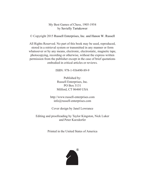#### My Best Games of Chess, 1905-1954 by Savielly Tartakower

© Copyright 2015 Russell Enterprises, Inc. and Hanon W. Russell

All Rights Reserved. No part of this book may be used, reproduced, stored in a retrieval system or transmitted in any manner or form whatsoever or by any means, electronic, electrostatic, magnetic tape, photocopying, recording or otherwise, without the express written permission from the publisher except in the case of brief quotations embodied in critical articles or reviews.

ISBN: 978-1-936490-89-9

Published by: Russell Enterprises, Inc. PO Box 3131 Milford, CT 06460 USA

http://www.russell-enterprises.com info@russell-enterprises.com

Cover design by Janel Lowrance

Editing and proofreading by Taylor Kingston, Nick Luker and Peter Kurzdorfer

Printed in the United States of America

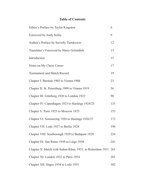### **Table of Contents**

| Editor's Preface by Taylor Kingston                        |     |  |  |  |  |  |  |  |
|------------------------------------------------------------|-----|--|--|--|--|--|--|--|
| Foreword by Andy Soltis                                    |     |  |  |  |  |  |  |  |
| Author's Preface by Savielly Tartakower                    |     |  |  |  |  |  |  |  |
| Translator's Foreword by Harry Golombek                    |     |  |  |  |  |  |  |  |
| Introduction                                               |     |  |  |  |  |  |  |  |
| Notes on My Chess Career                                   | 17  |  |  |  |  |  |  |  |
| <b>Tournament and Match Record</b>                         | 19  |  |  |  |  |  |  |  |
| Chapter I: Barmen 1905 to Vienna 1908                      | 23  |  |  |  |  |  |  |  |
| Chapter II: St. Petersburg 1909 to Vienna 1919             | 56  |  |  |  |  |  |  |  |
| Chapter III: Göteborg 1920 to London 1922                  | 98  |  |  |  |  |  |  |  |
| Chapter IV: Copenhagen 1923 to Hastings 1924/25            |     |  |  |  |  |  |  |  |
| Chapter V: Paris 1925 to Moscow 1925                       | 153 |  |  |  |  |  |  |  |
| Chapter VI: Semmering 1926 to Hastings 1926/27             | 172 |  |  |  |  |  |  |  |
| Chapter VII: Lodz 1927 to Berlin 1928                      | 196 |  |  |  |  |  |  |  |
| Chapter VIII: Scarborough 1929 to Budapest 1929            | 224 |  |  |  |  |  |  |  |
| Chapter IX: San Remo 1930 to Liège 1930                    | 241 |  |  |  |  |  |  |  |
| Chapter X: Match with Sultan Khan, 1931, to Rotterdam 1931 | 261 |  |  |  |  |  |  |  |
| Chapter XI: London 1932 to Paris 1934                      | 281 |  |  |  |  |  |  |  |
| Chapter XII: Sitges 1934 to Lodz 1935                      | 302 |  |  |  |  |  |  |  |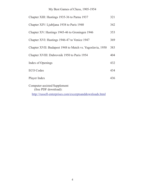### My Best Games of Chess, 1905-1954

| Chapter XIII: Hastings 1935-36 to Parnu 1937                |     |  |  |  |  |  |
|-------------------------------------------------------------|-----|--|--|--|--|--|
| Chapter XIV: Ljubljana 1938 to Paris 1940                   |     |  |  |  |  |  |
| Chapter XV: Hastings 1945-46 to Groningen 1946              |     |  |  |  |  |  |
| Chapter XVI: Hastings 1946-47 to Venice 1947                |     |  |  |  |  |  |
| Chapter XVII: Budapest 1948 to Match vs. Yugoslavia, 1950   |     |  |  |  |  |  |
| Chapter XVIII: Dubrovnik 1950 to Paris 1954                 |     |  |  |  |  |  |
| Index of Openings                                           |     |  |  |  |  |  |
| <b>ECO</b> Codes                                            | 434 |  |  |  |  |  |
| Player Index                                                | 436 |  |  |  |  |  |
| <b>Computer-assisted Supplement</b><br>(free PDF download): |     |  |  |  |  |  |

http://russell-enterprises.com/excerptsanddownloads.html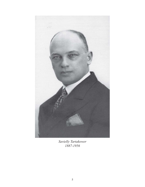

*Savielly Tartakower 1887-1956*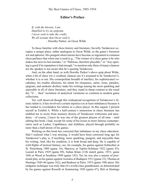#### **Editor's Preface**

*If, with the literate, I am Impelled to try an epigram, I never seek to take the credit; We all assume that Oscar said it.* - Dorothy Parker, on Oscar Wilde

To those familiar with chess history and literature, Savielly Tartakower occupies a unique place, rather analogous to Oscar Wilde, as the game's foremost wit and aphorist. His pungent observations have become so ingrained in common chess parlance that when one is used (e.g., "The winner of a chess game is he who makes the next-to-last mistake," or "Dubious, therefore playable," or "Any opening is good if its reputation is bad enough," to mention only three of many) chances are the speaker is not aware that he's quoting Tartakower.

And, on the other hand, as with Dorothy Parker's above quip about Wilde, when a bit of chess wit *is* credited, chances are it's assumed to be Tartakower's, whether it is or not. His cosmopolitan breadth of intellect, his sophisticated vocabulary, his erudite allusions, his talent for eloquence, satire, irony, paradox, epigram, and sardonic drollery make his writings among the most sparkling and enjoyable in all of chess literature, and they stand in sharp contrast to the usual dry "if … then" recitation of analytical variations so common to modern game collections.

Yet, well deserved though this widespread recognition of Tartakower's literary talent is, it has involved a certain injustice (or at least imbalance) because it has tended to overshadow his talents as a chess player. In this regard, I present myself as Exhibit A. While a half-century's immersion in chess literature has enabled me to recite from memory dozens of Tartakower witticisms and anecdotes – of course, I knew he was one of the greatest players of all time – until editing this book, I had, except for some of his losses to more famous contemporaries such as Lasker, Capablanca, and Alekhine, played through probably no more than a half-dozen of his games.

Working on this book has corrected that imbalance in my chess education. Had I realized what I was missing, it would have been corrected long ago for Tartakower's play is, if anything, more sparkling, pungent, and enjoyable than his writing. And, like his erudition, it is both broad and deep. He is capable of wild flights of tactical fantasy; see, for example, his games against Schlechter at St. Petersburg 1909 (game 16), Maróczy at Teplitz-Schönau 1922 (game 43), Lazard at Paris 1929 (game 89), Sultan Khan (11th match game, 1931; game 104) or Wood at Southsea 1949 (game 182). Yet, he was also a master of positional play, as his games against Asztalos at Budapest 1913 (game 23), Thomas at Hastings 1945-46 (game 162), and Benkner at Paris, 1953 (game 198) attest. His endgame technique was truly that of a world-class grandmaster, as demonstrated by his games against Rosselli at Semmering 1926 (game 67), Réti at Hastings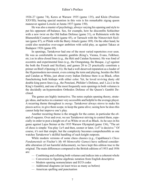1926-27 (game 74), Keres at Warsaw 1935 (game 135), and Klein (Position XXVIII); bearing special mention in this vein is his remarkable zigzag queen maneuver against Lowcki at Jurata 1937 (game 150).

He was also a master of psychology, always varying his opening and style to put his opponent off-balance. See, for example, how he discomfits Schlechter with a new twist on the Old Indian Defense (game 31), or Rubinstein with the Blumenfeld Counter-Gambit (game 45), or Tarrasch with the Nimzovitch Sicilian (game 87), or Pilnik with the Barry Attack (game 189). On the other hand, he could also neutralize over-eager ambition with solid play, as against Takacs at Budapest 1926 (game 69).

In openings, Tartakower had one of the most varied repertoires ever seen. He was as comfortable in romantic gambits (King's, Vienna, Evans, Falkbeer, etc.) as in ultra-closed lines (e.g., the Réti and Catalan Systems). He was fond of eccentric and experimental lines (e.g., the Orangutang, the Basque, 2.g3 against the both the French and Sicilian), and games 20 to 23 practically constitute a primer on Bird's Opening (1.f4). He had a well-deserved reputation as a leader of the Hypermodern movement, even coining the term and playing, besides the Réti and Catalan as White, just about every Indian Defense there is as Black, often fianchettoing both bishops with either color. Yet, he loved reviving dusty old double king pawn lines (e.g., the Ponziani, Philidor's Defense, and  $3.\triangleleft e2$  in the King's Gambit), and one of the most frequently seen openings in both volumes is the decidedly un-hypermodern Orthodox Defense of the Queen's Gambit Declined.

The games are highly instructive. The notes explain opening theory, strategic ideas, and tactics in a manner very accessible and helpful to the average player. A recurring theme throughout is *energy*. Tartakower always strove to make his pieces active, to give them scope, to keep the game alive; seeing how he does this cannot help but improve one's play.

Another recurring theme is the struggle for the center, in particular the e4 and e5-squares. Over and over, we see Tartakower striving to control them, especially in order to post a knight on e5 as White or on e4 as Black. As he says in his game against Lajos Steiner at the 1935 Warsaw Olympiad (game 136), "The art of chess is simple: You play  $\triangle$  e5 and then, sooner or later,  $\triangle \times f7$  is decisive." Of course, it's not that simple, but the complexity becomes comprehensible as one watches Tartakower's skillful handling of such knight outposts.

While modern versions of some chess classics (e.g., Capablanca's *Chess Fundamentals* or Fischer's *My 60 Memorable Games*) have suffered considerable alteration (if not harmful defacement), we have kept this edition true to the original. The main differences compared to the British editions of 1953 and 1956 are:

- Combining and collating both volumes and indices into a coherent whole
- Conversion to figurine algebraic notation from English descriptive
- Modern opening nomenclature and ECO codes
- Additional diagrams (at least twice as many as before)
- American spelling and punctuation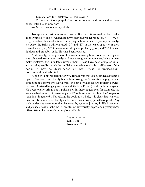— Explanations for Tartakower's Latin sayings

— Correction of typographical errors in notation and text (without, one hopes, introducing new ones!)

— Modern annotation symbols

To explain the last item, we see that the British editions used but two evaluation symbols,  $\pm$  and  $\pm$ , whereas today we have a broader range ( $\pm$ ,  $\pm$ ,  $\pm$ ,  $\pm$ ,  $\pm$ ,  $\pm$ ,  $-$ ); these have been substituted for the originals as indicated by computer analysis. Also, the British editions used "?!" and "!?" in the exact opposite of their current sense (i.e., "?!" to mean interesting and probably good, and "!?" to mean dubious and probably bad). This has been reversed.

Additionally, in the process of conversion to algebraic notation, each game was subjected to computer analysis. Since even great grandmaters, being human, make mistakes, this inevitably reveals them. These have been compiled in an analytical appendix, which the publisher is making available to all buyers of this book. It may be downloaded at: http://russell-enterprises.com/ excerptsanddownloads.html.

Along with his reputation for wit, Tartakower was also regarded as rather a cynic. If so, one could hardly blame him; losing one's parents in a pogrom and struggling to survive two world wars (in both of which he saw military service, first with Austria-Hungary and then with the Free French) could embitter anyone. He occasionally brings out a poison pen in these pages; see, for example, the sarcastic barbs aimed at Lasker in game 17, or his comments about the "Yugoslav variation" in game 64. Yet, taking the book as a whole, it is clear that whatever cynicism Tartakower felt hardly made him a misanthrope, quite the opposite. Any such tendencies were more than balanced by genuine joy: joy in life in general, and joy specifically in the thrills, beauty, infinite variety, depth, and mystery chess offers. We invite the reader to explore with him.

> Taylor Kingston San Diego November 2014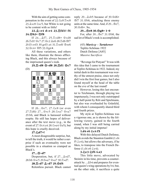With the aim of getting some compensation in the event of 22. $\&c8 \mathbb{Z} \times c8$ 23. $\&x \in S$   $\&x \in S$ , but White is not going to be content with so little!

22. **@xe4** dxe4 23. 骂fd1! f6 24. *H*b3+ *Hf8* 

If  $24...$  Af7,  $25.\Xi \times d8+$  & $\times d8$ 26. d1! 營c7 27. 營c2 真e6 28. Ed6 雪f7 29.f3 exf3 30.gxf3 a4 31. xe6! 含xe6 32. gc4+ \$f5 33. gg4 #.

All these variations, and others like them, illustrate the throes afflicting Black, and this always because of the imprisoned queen's rook.

25. **Exd8 曾xd8 26. Ed1 曾c7**  $(D)$ 



If 26... @e7, 27.2c8 (or even 27. d6) 27... @xc5 28. 2xa7 @xa7 29.b6, and Black is harassed without respite. He still has hopes of deliverance after the text move (e.g., in the event of 27. $\&c4$  a4 28. $\&c4 \& a5$ ), but this hope is cruelly deceived.

#### **27.Nd7+!**

A most disagreeable surprise, but, to tell the truth, it would be rather a surprise if such an eventuality were not possible in a situation so cramped as Black's.

#### 27...*曾×d7*

Desperation, but, if 27... $\& \times d7$ , 28.b6 營×c5 29.b×a7 營×a7 30. xd7.

#### 28. xd7  $\×$  xd7 29. ad5

Relentless pursuit. Black cannot

reply 29... $\&$ xb5 because of 30. $\&$ d6+ **\Secombediation** S<sub>1</sub>.\Sub6, attacking three enemy units at the same time. And, if  $29...$   $\degree$  e7, 30.營d6+. So,

#### **29... @e8 30. @g8+ 1-0**

For, after 30... @e7 31. @b8, the sad lot of Black's rook is accomplished.

> (43) *Maróczy – Tartakower* Teplitz-Schönau 1922 Dutch Defense [A85] *Massive Sacrifices*

"Revenge for Pistyan!" It was with this idea that I came to the tournament at Teplitz-Schönau in 1922. Indeed, my initial dash in this tournament was worthy of the utmost praise, since not only did I win the first four games, but I also found myself at the head of the table on the eve of the last round!

However, losing this last encounter to Teichmann, through playing too impetuously, I was not only outstripped by a half-point by Réti and Spielmann, but also was overhauled by Grünfeld, with whom I consequently shared third and fourth prizes.

My style at Teplitz-Schönau was a vigorous one, as is shown by the following victory, gained in the fourth round, when I was still being carried along by my initial impetus!

#### **1.d4 e6 2.c4 f5**

With this delayed Dutch Defense, Black avoids the Staunton Gambit (1.d4 f5 2.e4), but allows the adversary, if he likes, to transpose into the French Defense (1.d4 e6 2.e4).

#### **3.**Ac3 幻f6 4.a3

This little move, advocated by Steinitz in his time, prevents a counterattack by ... $\triangle 1$ b4 and prepares for eventual queen's wing operations by b4; but, on the other side, it sacrifices a quite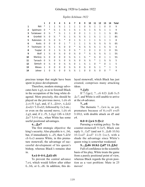#### Göteborg 1920 to London 1922

*Teplitz-Schönau 1922*

|    |               | 1             | 2             | 3             | 4             | 5             | 6             | 7             | 8             | 9             | 10            | 11            | 12            | 13            | 14            | Total          |
|----|---------------|---------------|---------------|---------------|---------------|---------------|---------------|---------------|---------------|---------------|---------------|---------------|---------------|---------------|---------------|----------------|
|    | Réti          | *             | 1             | 1             | $\frac{1}{2}$ | 1             | 1             | 1             | 1             | 0             | $\frac{1}{2}$ | 1             | 1             | 0             | 0             | 9              |
| 2  | Spielmann     | 0             | *             | $\frac{1}{2}$ | 1             | $\frac{1}{2}$ | 1             | $\frac{1}{2}$ | 1             | $\frac{1}{2}$ | 1             | $\frac{1}{2}$ | $\frac{1}{2}$ | 1             | 1             | 9              |
| 3  | Tartakower    | $\Omega$      | $\frac{1}{2}$ | *             | $\frac{1}{2}$ | 1             | 1             | 0             | 0             | 1             | 1             | 1             | 1             | 1             | $\frac{1}{2}$ | $8\frac{1}{2}$ |
| 4  | Grünfeld      | $\frac{1}{2}$ | $\mathbf{0}$  | $\frac{1}{2}$ | *             | $\frac{1}{2}$ | 1             | $\frac{1}{2}$ | $\frac{1}{2}$ | $\frac{1}{2}$ | 1             | $\frac{1}{2}$ | $\mathbf{1}$  | 1             | 1             | $8\frac{1}{2}$ |
| 5  | Rubinstein    | 0             | $\frac{1}{2}$ | 0             | $\frac{1}{2}$ | *             | 0             | 1             | $\frac{1}{2}$ | 1             | 1             | 1             | $\frac{1}{2}$ | 1             | 1             | 8              |
| 6  | Kostic        | $\Omega$      | $\Omega$      | $\Omega$      | $\Omega$      | 1             | *             | 1             | 1             | 1             | $\frac{1}{2}$ | $\frac{1}{2}$ | $\frac{1}{2}$ | $\frac{1}{2}$ | $\frac{1}{2}$ | $6\%$          |
| 7  | Teichmann     | 0             | $\frac{1}{2}$ | 1             | $\frac{1}{2}$ | 0             | $\mathbf{0}$  | *             | $\frac{1}{2}$ | $\frac{1}{2}$ | $\frac{1}{2}$ | $\frac{1}{2}$ | 1             | $\frac{1}{2}$ | $\frac{1}{2}$ | 6              |
| 8  | Treybal       | 0             | 0             | 1             | $\frac{1}{2}$ | $\frac{1}{2}$ | 0             | $\frac{1}{2}$ | *             | 1             | $\mathbf{0}$  | 1             | 0             | 1             | 0             | 5½             |
| 9  | Wolf          | 1             | $\frac{1}{2}$ | 0             | $\frac{1}{2}$ | 0             | 0             | ⅓             | 0             | *             | $\frac{1}{2}$ | $\frac{1}{2}$ | $\frac{1}{2}$ | $\frac{1}{2}$ | 1             | 5½             |
| 10 | Maróczy       | $\frac{1}{2}$ | 0             | 0             | 0             | 0             | ⅓             | $\frac{1}{2}$ | 1             | $\frac{1}{2}$ | *             | $\frac{1}{2}$ | 0             | 1             | 1             | 5½             |
| 11 | Tarrasch      | $\Omega$      | $\frac{1}{2}$ | 0             | $\frac{1}{2}$ | 0             | ⅓             | ⅓             | 0             | $\frac{1}{2}$ | $\frac{1}{2}$ | *             | 1             | $\frac{1}{2}$ | $\frac{1}{2}$ | 5              |
| 12 | Sämisch       | $\Omega$      | $\frac{1}{2}$ | $\Omega$      | $\Omega$      | $\frac{1}{2}$ | ⅓             | 0             | $\mathbf{1}$  | $\frac{1}{2}$ | 1             | $\Omega$      | $\ast$        | $\Omega$      | 1             | 5              |
| 13 | <b>Mieses</b> | 1             | 0             | $\Omega$      | $\Omega$      | 0             | ⅓             | $\frac{1}{2}$ | 0             | $\frac{1}{2}$ | 0             | $\frac{1}{2}$ | 1             | *             | 1             | 5              |
| 14 | Johner        | 1             | 0             | $\frac{1}{2}$ | $\Omega$      | $\Omega$      | $\frac{1}{2}$ | $\frac{1}{2}$ | 1             | $\Omega$      | $\Omega$      | $\frac{1}{2}$ | $\Omega$      | $\Omega$      | $\ast$        |                |

precious tempo that might have been spent in piece development.

Therefore, modern strategy advocates here 4.g3, so as to forestall Black in the occupation of the long white diagonal. More precisely, this should be played on the previous move, 1.d4 e6 2.c4 f5 3.g3, and, if 3...Bb4+, 4.Bd2 **Axd2+5.**Nxd2!, followed by 公c3 etc.; or even on the second move, 1.d4 e6 2.g3, and, if 2...f5, 3. $\&$ g2 2f6 4.2h3! **A**e7 5.0-0 etc., when White has some useful positional advantages.

#### **4...Be7**

The first strategic objective: the king's security. Also playable is 4...b6, but, if immediately 4...d5, then 5. $\&$ f4! c6 6.e3 assures White, in this premature stonewall, the advantage of successful development of his queen's bishop, whereas Black's remains shut in.

#### **5.e3 0-0 6.Bd3 d5**

To prevent the central advance 7.e4, which would follow after either 6...b6, or 6...d6. In addition, this delayed stonewall, which Black has just created, comprises many attacking ideas.

#### **7.Nf3**

If 7.2ge2, 7...c6 8.f3  $\triangle$ d6 9.c5  $\&c$ 7, and White is still unable to arrive at the e4-advance.

#### **7...c6**

The thematic  $7...\&\text{e4}$  is, as yet, premature because of 8.c×d5 e×d5 9. b3, with double attack on d5 and e4.

#### **8.0-0 公e4 9.營c2**

Pursuing a waiting policy. To the counter-stonewall 9.<sup>5</sup>e5, Black can reply  $9...\&d7$  (and not  $9...\&d6$  10.f4) 10. Axd7  $\&x$ d7 11.f3  $\&x$ c3, with a shade the advantage since White's queen wing is somewhat weakened.

#### **9...** & d6 10.b3 & d7 11. \$ b2

Full of confidence in the scientific basis of his play, White treats the game from a purely positional point of view, whereas Black regards the given position as a vast problem: Mate in 25 moves!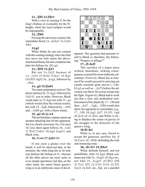#### 11...買f6 12.買fe1

With a view to clearing f1 for the king's bishop, or eventually for the f3 knight, when the royal rampart would be impregnable.

#### **12...Rh6**

Forcing the adversary to parry the immediate threat  $13...$  $\Delta \times h2 + 14$ . $\Delta \times h2$  $\mathbb{A}^{4}$ .

#### **13.g3**

White thinks he can rest content with this waiting strategy since the little text move not only meets the abovementioned threat, but also completes the plan for defense by  $\triangle$ f1-g2.

#### 13... *曾f6* 14. **\_f1**

But not 14.2d2? because of 14... 2×f2 15. \$xf2  $\Xi$ ×h2+ 16. \$g1  $(16.\text{F}3 \text{G}5) 16...\text{G}xg3$ , followed by  $...$ \\\eadh $4.$ 

#### 14...g5 15. ad1

Too many preparatory moves! The direct defense by 15. $\angle$ g2, followed by  $\triangle$ d2-f1, was in order. However, Black could reply to  $15.\text{\AA}g2$  not with  $15...\text{g}4$ (which would close the critical sector), but with  $15...$  gg6, followed by  $\ldots$   $h5$ and  $\ldots \triangle$ df6-g4, with a fierce attack.

#### 15...g4 16. $\&$ ×e4

This preliminary capture opens up another attacking line for the opponent, but it is clearly necessary for, if at once 16. $\triangle$ d2, there again follows 16... $\triangle xf2$ 17. xf2  $\Xi$ xh2+ 18.  $\angle$  g2  $\angle$  xg3+!, and Black wins.

#### $16...$ f×e4 17. $\triangle$ d2 (D)

If one casts a glance over the board, it will be observed that, at the moment, the white king has as its only real defense the bishop on f1, whereas all the other pieces are mere units or even simple spectators; but that, on the other hand, the entire black queen's wing is in an embryonic state of devel-



opment. The question that presents itself to Black is, therefore, the following: "Prepare or pillage?"

#### 17...買×h2!!

This sacrifice of a major piece without immediate, striking consequences exacted the most elaborate calculation. *Positively*, Black has to foresee if he would succeed in carrying out certain essential quiet moves (...Nf6 h5-g3 as well as ...Bd7) before the adversary can throw his rescue troops into the fight. *Negatively*, Black had to work out that a slow and methodical reinforcement of his attack (by  $17...$   $\circledcirc$  f8 and then  $\ldots \triangle 17$ ,  $\ldots \triangle 296$ ,  $\ldots \triangle 18$ ) would also allow his opponent to consolidate, e.g., 17... 2f8 18. ag2 ad7 19. 2f1 2g6 20. c3! a5 21. ad White is trying to displace the center of gravity of the struggle in the direction of the queen's wing.

#### 18.图×h2

White is, in any case, forced to accept the generous sacrifice for, if 18. Exe4, 18... \th6!, defending the rook and menacing mate.

#### 18...營×f2+ 19. gh1!

White defends himself, and not unskillfully. After 19. $\&$ g2, Black continues not with  $19...$   $\frac{10}{2} \times g^2 + 20.$   $\frac{10}{2}$  etc., nor whit 19...  $2 \times g^2 + 20$ . 雪h1 曾f6 21. ie2  $$f2 22.1 \times f2 8 \times f2 23.1 \times f1$ Qxe3 24.Qd1 etc., but, on a parallel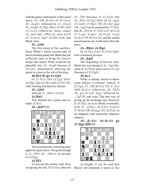with the game continuation, with a quiet move, 19... 5f6 20. 曾c3 (if 20. 公 × e4,  $20...\Delta \times g3+$ , followed by  $21...\Delta \times c2)$ 20... @xg3+ 21. @g1 @h2+ 22. @f1 2h5 23. $\triangle \times 4$  (otherwise there comes 23.... 1d7 and ... <sup>[18+]</sup> 23... d×e4 24.d5 e5 25.dxc6  $293+26.$ \$f2  $2e6$ , and Black wins.

#### 19...<sub>5</sub> f6!

The first point of the sacrifice. Since White's whole second rank of pieces remains paralyzed, Black has just sufficient time to bring his reserve troops into action. Weak would be the plausible line  $19...$ <sup>8</sup>×g3? because of  $20.6$ b1, immediately allowing the queen to come to the aid of the king.

#### 20. **Ee2 曾×g3 21.** 公b1

Or 21.營c3 2h5 22. g2 營h4+ 23. g1 2g3 24. Eh2 @g5 25. Ef2 2f5, with winning and decisive threats.

21...<sub>2</sub>h5

And not 21... 營h4+ 22. Eh2. **22.**曾d2

This defends the e-pawn and intends 23.營e1.

22... **Ad7!** (D)



The second point, consisting once again in a quiet move. Not good enough is  $22...\cong f3+$  (or  $...\cong h4+$ ), on account of  $23.\$ g1.

#### **23.Rf2**

To prevent the enemy rook from occupying this file. If  $23.$  \eefter 23, \eefter 1, then not

23... $\mathbb{E}$  f8 (because of 24. $\mathbb{Q}$ d2), but 23... 曾f3+ 24. 旦g2 營h3+ (if 24... 鱼g3, 25. 2d2!) 25. 曾g1 耳f8 26. 2d2 鼻g3  $(26...\&g3$ ? can be mastered by 27. $E$ h2, and  $26...$  $15$  by  $27.$   $\&$  xf3 exf3  $28.$   $12c2)$ 27. xg3 營×g3 + 28. 營×g3 2×g3 29. c3 公f5 30.  $\Xi$ e1 h5, and the united passed pawns are worth more than the piece.

#### **23...窗h4+ 24.窗g1**

Or 24. h2 鱼×h2 25. 含×h2 曾g5!, with continued pressure.

#### **24...Bg3!**

The beginning of harvest time. Much less convincing is  $24...\text{log}3$  (because of 25. $\Xi$ h2!), and so too is 24...g3 (because of  $25.\overline{\mathbb{E}}g(2)$ .

#### **25.Bc3**

White is already forced to throw some ballast overboard. Indeed, if 25. g2, 25... 旦f8 26. 曾e2 旦f3 27. gc3  $\triangle$ d6 28. $\triangle$ e1 (otherwise, 28... $\triangle$ h3) 28...g3 29. $\text{\&}$ d2  $\text{\&}$ g4, followed by ... $\triangle$ g7-f5, and wins. The best way of giving up the exchange lies, however, in  $25.\Xi$ h2, so as to finish, eventually, with 25...  $\& \times h2 + 26$ .  $\& \times h2 + ?$ 27. h2 耳f8 28. g2 耳f2 29. 耳d2, in an endgame with somewhat nebulous chances.

**25...Bxf2+ 26.Qxf2 g3 27.營g2 罝f8** (D)



At length, it can be said that Black's development is more or less